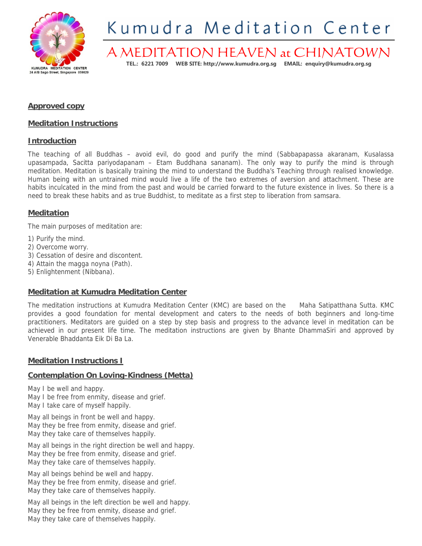

# Kumudra Meditation Center

# A MEDITATION HEAVEN at CHINATOWN **TEL.: 6221 7009 WEB SITE: http://www.kumudra.org.sg EMAIL: enquiry@kumudra.org.sg**

# **Approved copy**

## **Meditation Instructions**

## **Introduction**

The teaching of all Buddhas – avoid evil, do good and purify the mind (Sabbapapassa akaranam, Kusalassa upasampada, Sacitta pariyodapanam – Etam Buddhana sananam). The only way to purify the mind is through meditation. Meditation is basically training the mind to understand the Buddha's Teaching through realised knowledge. Human being with an untrained mind would live a life of the two extremes of aversion and attachment. These are habits inculcated in the mind from the past and would be carried forward to the future existence in lives. So there is a need to break these habits and as true Buddhist, to meditate as a first step to liberation from samsara.

## **Meditation**

The main purposes of meditation are:

- 1) Purify the mind.
- 2) Overcome worry.
- 3) Cessation of desire and discontent.
- 4) Attain the magga noyna (Path).
- 5) Enlightenment (Nibbana).

## **Meditation at Kumudra Meditation Center**

The meditation instructions at Kumudra Meditation Center (KMC) are based on the Maha Satipatthana Sutta. KMC provides a good foundation for mental development and caters to the needs of both beginners and long-time practitioners. Meditators are guided on a step by step basis and progress to the advance level in meditation can be achieved in our present life time. The meditation instructions are given by Bhante DhammaSiri and approved by Venerable Bhaddanta Eik Di Ba La.

# **Meditation Instructions I**

## **Contemplation On Loving-Kindness (Metta)**

May I be well and happy. May I be free from enmity, disease and grief. May I take care of myself happily.

May all beings in front be well and happy. May they be free from enmity, disease and grief. May they take care of themselves happily.

May all beings in the right direction be well and happy. May they be free from enmity, disease and grief. May they take care of themselves happily.

May all beings behind be well and happy. May they be free from enmity, disease and grief. May they take care of themselves happily.

May all beings in the left direction be well and happy. May they be free from enmity, disease and grief. May they take care of themselves happily.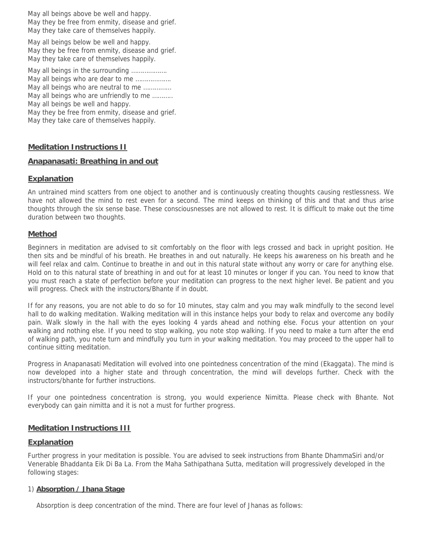May all beings above be well and happy. May they be free from enmity, disease and grief. May they take care of themselves happily.

May all beings below be well and happy. May they be free from enmity, disease and grief. May they take care of themselves happily.

May all beings in the surrounding ………………. May all beings who are dear to me ................... May all beings who are neutral to me …………… May all beings who are unfriendly to me ……….. May all beings be well and happy. May they be free from enmity, disease and grief. May they take care of themselves happily.

#### **Meditation Instructions II**

#### **Anapanasati: Breathing in and out**

#### **Explanation**

An untrained mind scatters from one object to another and is continuously creating thoughts causing restlessness. We have not allowed the mind to rest even for a second. The mind keeps on thinking of this and that and thus arise thoughts through the six sense base. These consciousnesses are not allowed to rest. It is difficult to make out the time duration between two thoughts.

#### **Method**

Beginners in meditation are advised to sit comfortably on the floor with legs crossed and back in upright position. He then sits and be mindful of his breath. He breathes in and out naturally. He keeps his awareness on his breath and he will feel relax and calm. Continue to breathe in and out in this natural state without any worry or care for anything else. Hold on to this natural state of breathing in and out for at least 10 minutes or longer if you can. You need to know that you must reach a state of perfection before your meditation can progress to the next higher level. Be patient and you will progress. Check with the instructors/Bhante if in doubt.

If for any reasons, you are not able to do so for 10 minutes, stay calm and you may walk mindfully to the second level hall to do walking meditation. Walking meditation will in this instance helps your body to relax and overcome any bodily pain. Walk slowly in the hall with the eyes looking 4 yards ahead and nothing else. Focus your attention on your walking and nothing else. If you need to stop walking, you note stop walking. If you need to make a turn after the end of walking path, you note turn and mindfully you turn in your walking meditation. You may proceed to the upper hall to continue sitting meditation.

Progress in Anapanasati Meditation will evolved into one pointedness concentration of the mind (Ekaggata). The mind is now developed into a higher state and through concentration, the mind will develops further. Check with the instructors/bhante for further instructions.

If your one pointedness concentration is strong, you would experience Nimitta. Please check with Bhante. Not everybody can gain nimitta and it is not a must for further progress.

#### **Meditation Instructions III**

#### **Explanation**

Further progress in your meditation is possible. You are advised to seek instructions from Bhante DhammaSiri and/or Venerable Bhaddanta Eik Di Ba La. From the Maha Sathipathana Sutta, meditation will progressively developed in the following stages:

#### 1) **Absorption / Jhana Stage**

Absorption is deep concentration of the mind. There are four level of Jhanas as follows: